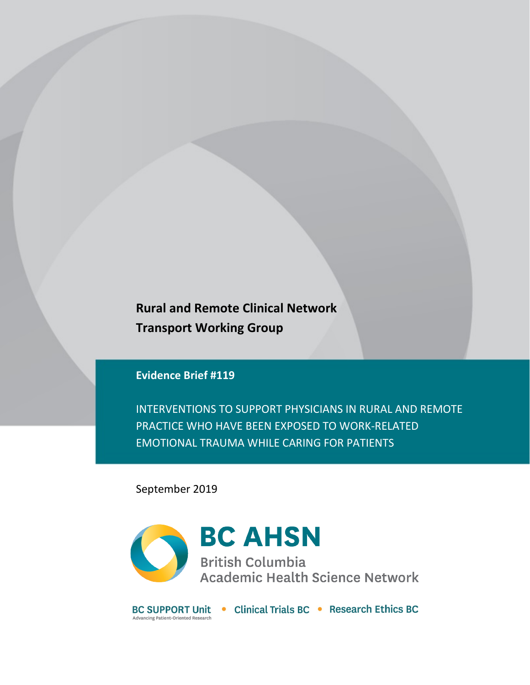**Rural and Remote Clinical Network Transport Working Group**

# **Evidence Brief #119**

INTERVENTIONS TO SUPPORT PHYSICIANS IN RURAL AND REMOTE PRACTICE WHO HAVE BEEN EXPOSED TO WORK-RELATED EMOTIONAL TRAUMA WHILE CARING FOR PATIENTS

September 2019



BC SUPPORT Unit • Clinical Trials BC • Research Ethics BC Advancing Patient-Oriented Research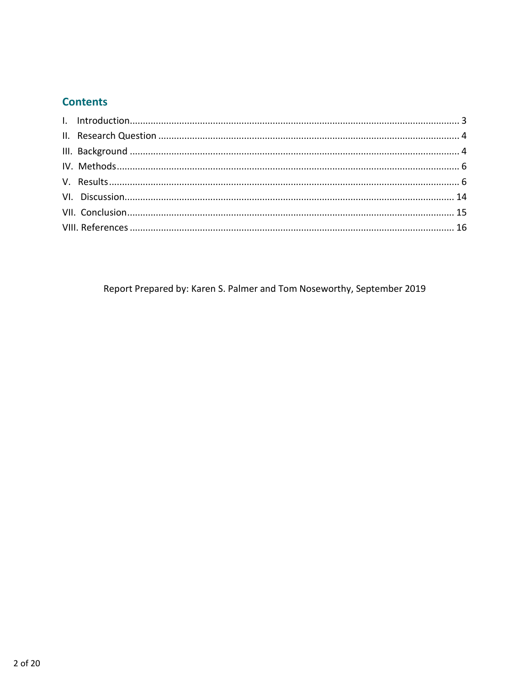# **Contents**

Report Prepared by: Karen S. Palmer and Tom Noseworthy, September 2019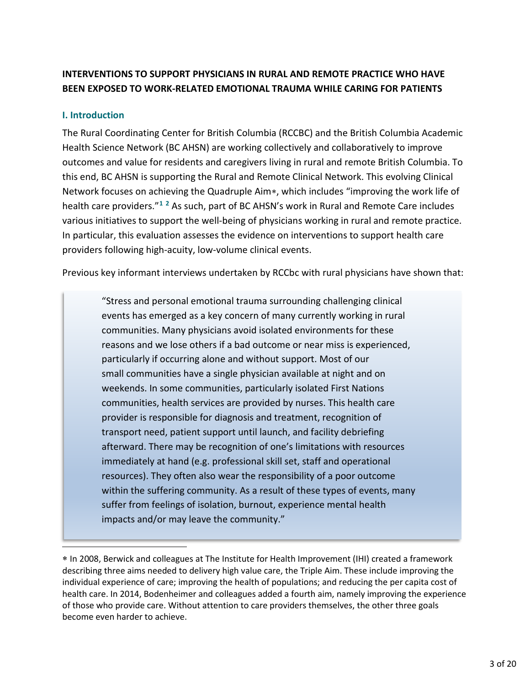# **INTERVENTIONS TO SUPPORT PHYSICIANS IN RURAL AND REMOTE PRACTICE WHO HAVE BEEN EXPOSED TO WORK-RELATED EMOTIONAL TRAUMA WHILE CARING FOR PATIENTS**

### <span id="page-2-0"></span>**I. Introduction**

The Rural Coordinating Center for British Columbia (RCCBC) and the British Columbia Academic Health Science Network (BC AHSN) are working collectively and collaboratively to improve outcomes and value for residents and caregivers living in rural and remote British Columbia. To this end, BC AHSN is supporting the Rural and Remote Clinical Network. This evolving Clinical Network focuses on achieving the Quadruple Aim[∗](#page-2-1), which includes "improving the work life of health care providers."**[1](#page-15-1) [2](#page-15-2)** As such, part of BC AHSN's work in Rural and Remote Care includes various initiatives to support the well-being of physicians working in rural and remote practice. In particular, this evaluation assesses the evidence on interventions to support health care providers following high-acuity, low-volume clinical events.

Previous key informant interviews undertaken by RCCbc with rural physicians have shown that:

"Stress and personal emotional trauma surrounding challenging clinical events has emerged as a key concern of many currently working in rural communities. Many physicians avoid isolated environments for these reasons and we lose others if a bad outcome or near miss is experienced, particularly if occurring alone and without support. Most of our small communities have a single physician available at night and on weekends. In some communities, particularly isolated First Nations communities, health services are provided by nurses. This health care provider is responsible for diagnosis and treatment, recognition of transport need, patient support until launch, and facility debriefing afterward. There may be recognition of one's limitations with resources immediately at hand (e.g. professional skill set, staff and operational resources). They often also wear the responsibility of a poor outcome within the suffering community. As a result of these types of events, many suffer from feelings of isolation, burnout, experience mental health impacts and/or may leave the community."

<span id="page-2-1"></span><sup>∗</sup> In 2008, Berwick and colleagues at The Institute for Health Improvement (IHI) created a framework describing three aims needed to delivery high value care, the Triple Aim. These include improving the individual experience of care; improving the health of populations; and reducing the per capita cost of health care. In 2014, Bodenheimer and colleagues added a fourth aim, namely improving the experience of those who provide care. Without attention to care providers themselves, the other three goals become even harder to achieve.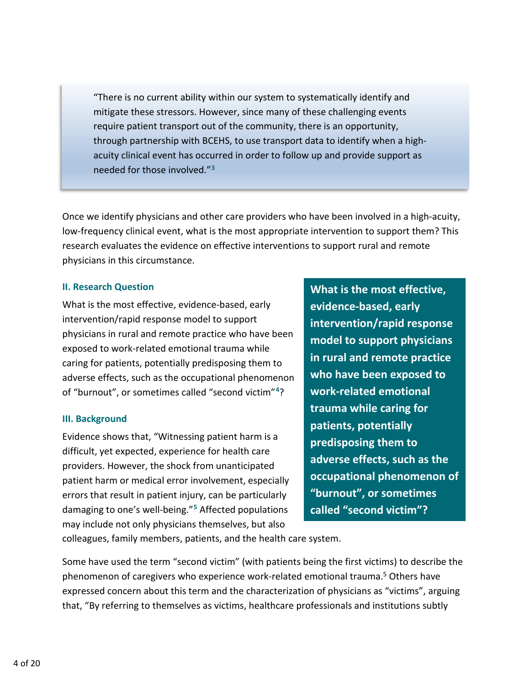"There is no current ability within our system to systematically identify and mitigate these stressors. However, since many of these challenging events require patient transport out of the community, there is an opportunity, through partnership with BCEHS, to use transport data to identify when a highacuity clinical event has occurred in order to follow up and provide support as needed for those involved."**[3](#page-15-3)**

Once we identify physicians and other care providers who have been involved in a high-acuity, low-frequency clinical event, what is the most appropriate intervention to support them? This research evaluates the evidence on effective interventions to support rural and remote physicians in this circumstance.

#### <span id="page-3-0"></span>**II. Research Question**

What is the most effective, evidence-based, early intervention/rapid response model to support physicians in rural and remote practice who have been exposed to work-related emotional trauma while caring for patients, potentially predisposing them to adverse effects, such as the occupational phenomenon of "burnout", or sometimes called "second victim"**[4](#page-15-4)**?

### <span id="page-3-1"></span>**III. Background**

Evidence shows that, "Witnessing patient harm is a difficult, yet expected, experience for health care providers. However, the shock from unanticipated patient harm or medical error involvement, especially errors that result in patient injury, can be particularly damaging to one's well-being."**[5](#page-15-5)** Affected populations may include not only physicians themselves, but also

<span id="page-3-3"></span>**What is the most effective, evidence-based, early intervention/rapid response model to support physicians in rural and remote practice who have been exposed to work-related emotional trauma while caring for patients, potentially predisposing them to adverse effects, such as the occupational phenomenon of "burnout", or sometimes called "second victim"?**

<span id="page-3-2"></span>colleagues, family members, patients, and the health care system.

Some have used the term "second victim" (with patients being the first victims) to describe the phenomenon of caregivers who experience work-related emotional trauma.<sup>5</sup> Others have expressed concern about this term and the characterization of physicians as "victims", arguing that, "By referring to themselves as victims, healthcare professionals and institutions subtly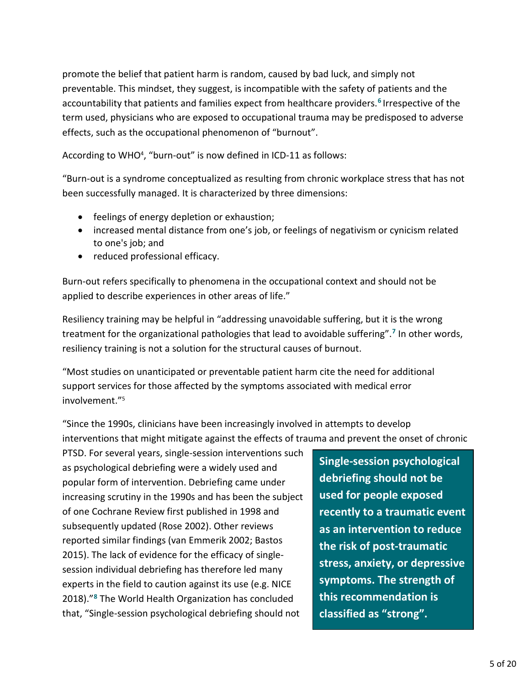promote the belief that patient harm is random, caused by bad luck, and simply not preventable. This mindset, they suggest, is incompatible with the safety of patients and the accountability that patients and families expect from healthcare providers.**[6](#page-15-6)** Irrespective of the term used, physicians who are exposed to occupational trauma may be predisposed to adverse effects, such as the occupational phenomenon of "burnout".

According to WHO<sup>4</sup>, "burn-out" is now defined in ICD-11 as follows:

"Burn-out is a syndrome conceptualized as resulting from chronic workplace stress that has not been successfully managed. It is characterized by three dimensions:

- feelings of energy depletion or exhaustion;
- increased mental distance from one's job, or feelings of negativism or cynicism related to one's job; and
- reduced professional efficacy.

Burn-out refers specifically to phenomena in the occupational context and should not be applied to describe experiences in other areas of life."

Resiliency training may be helpful in "addressing unavoidable suffering, but it is the wrong treatment for the organizational pathologies that lead to avoidable suffering".**[7](#page-15-7)** In other words, resiliency training is not a solution for the structural causes of burnout.

"Most studies on unanticipated or preventable patient harm cite the need for additional support services for those affected by the symptoms associated with medical error involvement.["5](#page-3-2)

"Since the 1990s, clinicians have been increasingly involved in attempts to develop interventions that might mitigate against the effects of trauma and prevent the onset of chronic

<span id="page-4-0"></span>PTSD. For several years, single-session interventions such as psychological debriefing were a widely used and popular form of intervention. Debriefing came under increasing scrutiny in the 1990s and has been the subject of one Cochrane Review first published in 1998 and subsequently updated (Rose 2002). Other reviews reported similar findings (van Emmerik 2002; Bastos 2015). The lack of evidence for the efficacy of singlesession individual debriefing has therefore led many experts in the field to caution against its use (e.g. NICE 2018)."**[8](#page-15-8)** The World Health Organization has concluded that, "Single-session psychological debriefing should not

**Single-session psychological debriefing should not be used for people exposed recently to a traumatic event as an intervention to reduce the risk of post-traumatic stress, anxiety, or depressive symptoms. The strength of this recommendation is classified as "strong".**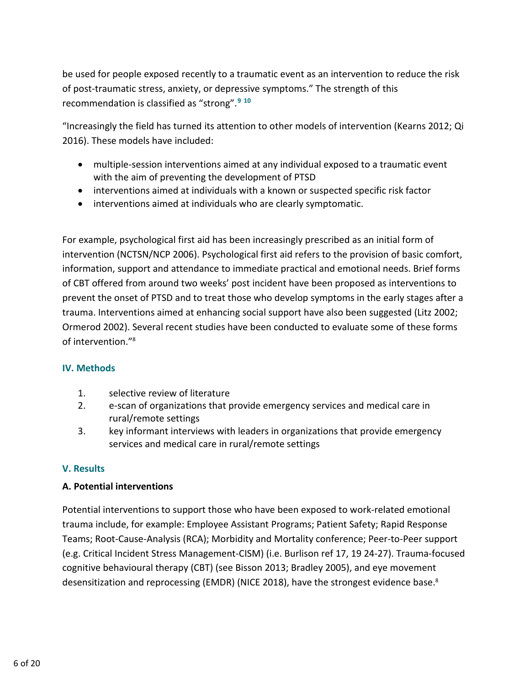be used for people exposed recently to a traumatic event as an intervention to reduce the risk of post-traumatic stress, anxiety, or depressive symptoms." The strength of this recommendation is classified as "strong".**[9](#page-15-9) [10](#page-15-10)**

"Increasingly the field has turned its attention to other models of intervention (Kearns 2012; Qi 2016). These models have included:

- <span id="page-5-3"></span><span id="page-5-2"></span>• multiple-session interventions aimed at any individual exposed to a traumatic event with the aim of preventing the development of PTSD
- interventions aimed at individuals with a known or suspected specific risk factor
- interventions aimed at individuals who are clearly symptomatic.

For example, psychological first aid has been increasingly prescribed as an initial form of intervention (NCTSN/NCP 2006). Psychological first aid refers to the provision of basic comfort, information, support and attendance to immediate practical and emotional needs. Brief forms of CBT offered from around two weeks' post incident have been proposed as interventions to prevent the onset of PTSD and to treat those who develop symptoms in the early stages after a trauma. Interventions aimed at enhancing social support have also been suggested (Litz 2002; Ormerod 2002). Several recent studies have been conducted to evaluate some of these forms of intervention.["8](#page-4-0)

## <span id="page-5-0"></span>**IV. Methods**

- 1. selective review of literature
- 2. e-scan of organizations that provide emergency services and medical care in rural/remote settings
- 3. key informant interviews with leaders in organizations that provide emergency services and medical care in rural/remote settings

# <span id="page-5-1"></span>**V. Results**

## **A. Potential interventions**

Potential interventions to support those who have been exposed to work-related emotional trauma include, for example: Employee Assistant Programs; Patient Safety; Rapid Response Teams; Root-Cause-Analysis (RCA); Morbidity and Mortality conference; Peer-to-Peer support (e.g. Critical Incident Stress Management-CISM) (i.e. Burlison ref 17, 19 24-27). Trauma-focused cognitive behavioural therapy (CBT) (see Bisson 2013; Bradley 2005), and eye movement desensitization and reprocessing (EMDR) (NICE 2018), have the strongest evidence base.<sup>8</sup>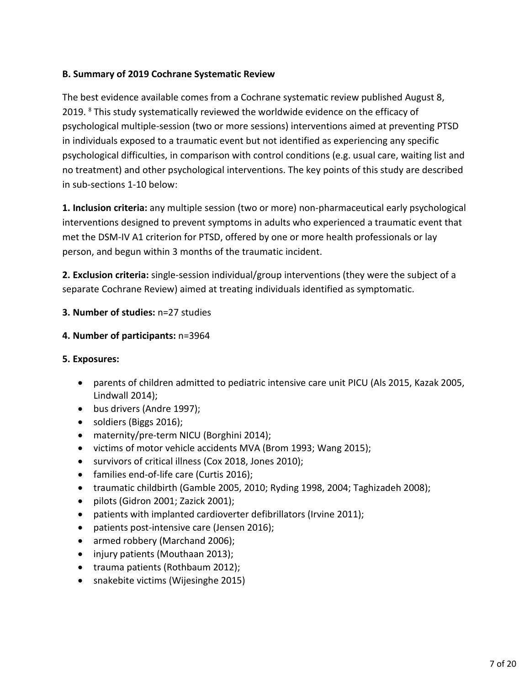## **B. Summary of 2019 Cochrane Systematic Review**

The best evidence available comes from a Cochrane systematic review published August 8, 2019. <sup>[8](#page-4-0)</sup> This study systematically reviewed the worldwide evidence on the efficacy of psychological multiple-session (two or more sessions) interventions aimed at preventing PTSD in individuals exposed to a traumatic event but not identified as experiencing any specific psychological difficulties, in comparison with control conditions (e.g. usual care, waiting list and no treatment) and other psychological interventions. The key points of this study are described in sub-sections 1-10 below:

**1. Inclusion criteria:** any multiple session (two or more) non-pharmaceutical early psychological interventions designed to prevent symptoms in adults who experienced a traumatic event that met the DSM-IV A1 criterion for PTSD, offered by one or more health professionals or lay person, and begun within 3 months of the traumatic incident.

**2. Exclusion criteria:** single-session individual/group interventions (they were the subject of a separate Cochrane Review) aimed at treating individuals identified as symptomatic.

### **3. Number of studies:** n=27 studies

### **4. Number of participants:** n=3964

### **5. Exposures:**

- parents of children admitted to pediatric intensive care unit PICU (Als 2015, Kazak 2005, Lindwall 2014);
- bus drivers (Andre 1997);
- soldiers (Biggs 2016);
- maternity/pre-term NICU (Borghini 2014);
- victims of motor vehicle accidents MVA (Brom 1993; Wang 2015);
- survivors of critical illness (Cox 2018, Jones 2010);
- families end-of-life care (Curtis 2016);
- traumatic childbirth (Gamble 2005, 2010; Ryding 1998, 2004; Taghizadeh 2008);
- pilots (Gidron 2001; Zazick 2001);
- patients with implanted cardioverter defibrillators (Irvine 2011);
- patients post-intensive care (Jensen 2016);
- armed robbery (Marchand 2006);
- injury patients (Mouthaan 2013);
- trauma patients (Rothbaum 2012);
- snakebite victims (Wijesinghe 2015)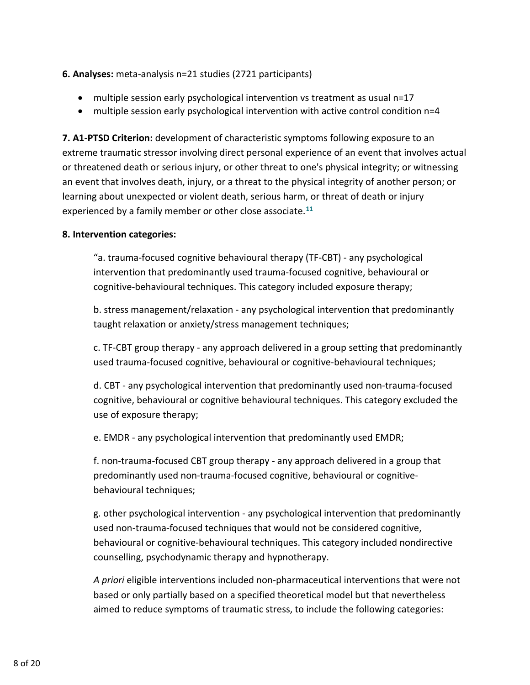## **6. Analyses:** meta-analysis n=21 studies (2721 participants)

- multiple session early psychological intervention vs treatment as usual n=17
- multiple session early psychological intervention with active control condition n=4

**7. A1-PTSD Criterion:** development of characteristic symptoms following exposure to an extreme traumatic stressor involving direct personal experience of an event that involves actual or threatened death or serious injury, or other threat to one's physical integrity; or witnessing an event that involves death, injury, or a threat to the physical integrity of another person; or learning about unexpected or violent death, serious harm, or threat of death or injury experienced by a family member or other close associate.**[11](#page-16-0)**

### **8. Intervention categories:**

"a. trauma-focused cognitive behavioural therapy (TF-CBT) - any psychological intervention that predominantly used trauma-focused cognitive, behavioural or cognitive-behavioural techniques. This category included exposure therapy;

b. stress management/relaxation - any psychological intervention that predominantly taught relaxation or anxiety/stress management techniques;

c. TF-CBT group therapy - any approach delivered in a group setting that predominantly used trauma-focused cognitive, behavioural or cognitive-behavioural techniques;

d. CBT - any psychological intervention that predominantly used non-trauma-focused cognitive, behavioural or cognitive behavioural techniques. This category excluded the use of exposure therapy;

e. EMDR - any psychological intervention that predominantly used EMDR;

f. non-trauma-focused CBT group therapy - any approach delivered in a group that predominantly used non-trauma-focused cognitive, behavioural or cognitivebehavioural techniques;

g. other psychological intervention - any psychological intervention that predominantly used non-trauma-focused techniques that would not be considered cognitive, behavioural or cognitive-behavioural techniques. This category included nondirective counselling, psychodynamic therapy and hypnotherapy.

*A priori* eligible interventions included non-pharmaceutical interventions that were not based or only partially based on a specified theoretical model but that nevertheless aimed to reduce symptoms of traumatic stress, to include the following categories: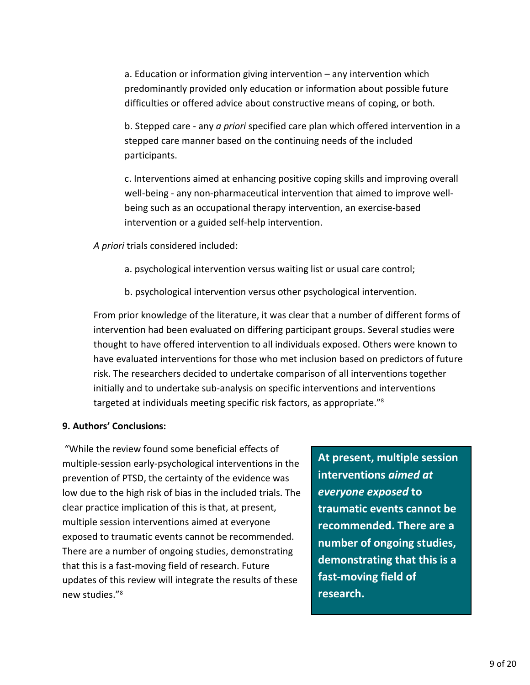a. Education or information giving intervention – any intervention which predominantly provided only education or information about possible future difficulties or offered advice about constructive means of coping, or both.

b. Stepped care - any *a priori* specified care plan which offered intervention in a stepped care manner based on the continuing needs of the included participants.

c. Interventions aimed at enhancing positive coping skills and improving overall well-being - any non-pharmaceutical intervention that aimed to improve wellbeing such as an occupational therapy intervention, an exercise-based intervention or a guided self-help intervention.

*A priori* trials considered included:

- a. psychological intervention versus waiting list or usual care control;
- b. psychological intervention versus other psychological intervention.

From prior knowledge of the literature, it was clear that a number of different forms of intervention had been evaluated on differing participant groups. Several studies were thought to have offered intervention to all individuals exposed. Others were known to have evaluated interventions for those who met inclusion based on predictors of future risk. The researchers decided to undertake comparison of all interventions together initially and to undertake sub-analysis on specific interventions and interventions targeted at individuals meeting specific risk factors, as appropriate.["8](#page-4-0)

## **9. Authors' Conclusions:**

"While the review found some beneficial effects of multiple-session early-psychological interventions in the prevention of PTSD, the certainty of the evidence was low due to the high risk of bias in the included trials. The clear practice implication of this is that, at present, multiple session interventions aimed at everyone exposed to traumatic events cannot be recommended. There are a number of ongoing studies, demonstrating that this is a fast-moving field of research. Future updates of this review will integrate the results of these new studies.["8](#page-4-0)

**At present, multiple session interventions** *aimed at everyone exposed* **to traumatic events cannot be recommended. There are a number of ongoing studies, demonstrating that this is a fast-moving field of research.**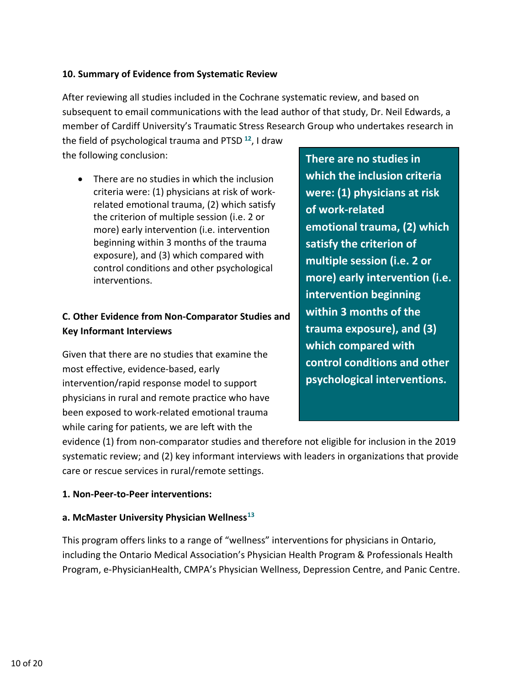### **10. Summary of Evidence from Systematic Review**

After reviewing all studies included in the Cochrane systematic review, and based on subsequent to email communications with the lead author of that study, Dr. Neil Edwards, a member of Cardiff University's Traumatic Stress Research Group who undertakes research in

the field of psychological trauma and PTSD **[12](#page-16-1)**, I draw the following conclusion:

• There are no studies in which the inclusion criteria were: (1) physicians at risk of workrelated emotional trauma, (2) which satisfy the criterion of multiple session (i.e. 2 or more) early intervention (i.e. intervention beginning within 3 months of the trauma exposure), and (3) which compared with control conditions and other psychological interventions.

# **C. Other Evidence from Non-Comparator Studies and Key Informant Interviews**

Given that there are no studies that examine the most effective, evidence-based, early intervention/rapid response model to support physicians in rural and remote practice who have been exposed to work-related emotional trauma while caring for patients, we are left with the

**There are no studies in which the inclusion criteria were: (1) physicians at risk of work-related emotional trauma, (2) which satisfy the criterion of multiple session (i.e. 2 or more) early intervention (i.e. intervention beginning within 3 months of the trauma exposure), and (3) which compared with control conditions and other psychological interventions.**

evidence (1) from non-comparator studies and therefore not eligible for inclusion in the 2019 systematic review; and (2) key informant interviews with leaders in organizations that provide care or rescue services in rural/remote settings.

### **1. Non-Peer-to-Peer interventions:**

### **a. McMaster University Physician Wellness[13](#page-16-2)**

This program offers links to a range of "wellness" interventions for physicians in Ontario, including the Ontario Medical Association's Physician Health Program & Professionals Health Program, e-PhysicianHealth, CMPA's Physician Wellness, Depression Centre, and Panic Centre.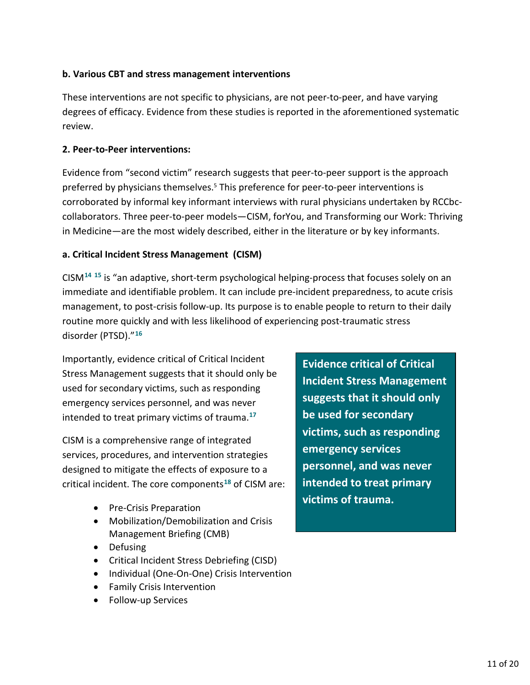## **b. Various CBT and stress management interventions**

These interventions are not specific to physicians, are not peer-to-peer, and have varying degrees of efficacy. Evidence from these studies is reported in the aforementioned systematic review.

## **2. Peer-to-Peer interventions:**

Evidence from "second victim" research suggests that peer-to-peer support is the approach preferred by physicians themselves.<sup>5</sup> This preference for peer-to-peer interventions is corroborated by informal key informant interviews with rural physicians undertaken by RCCbccollaborators. Three peer-to-peer models—CISM, forYou, and Transforming our Work: Thriving in Medicine—are the most widely described, either in the literature or by key informants.

## **a. Critical Incident Stress Management (CISM)**

CISM**[14](#page-16-3) [15](#page-16-4)** is "an adaptive, short-term psychological helping-process that focuses solely on an immediate and identifiable problem. It can include pre-incident preparedness, to acute [crisis](https://en.wikipedia.org/wiki/Crisis_management)  [management,](https://en.wikipedia.org/wiki/Crisis_management) to post-crisis follow-up. Its purpose is to enable people to return to their daily routine more quickly and with less likelihood of experiencing [post-traumatic stress](https://en.wikipedia.org/wiki/Post-traumatic_stress_disorder)  [disorder](https://en.wikipedia.org/wiki/Post-traumatic_stress_disorder) (PTSD)."**[16](#page-16-5)**

Importantly, evidence critical of Critical Incident Stress Management suggests that it should only be used for secondary victims, such as responding emergency services personnel, and was never intended to treat primary victims of trauma.**[17](#page-16-6)**

CISM is a comprehensive range of integrated services, procedures, and intervention strategies designed to mitigate the effects of exposure to a critical incident. The core components**[18](#page-16-7)** of CISM are:

- <span id="page-10-0"></span>• Pre-Crisis Preparation
- Mobilization/Demobilization and Crisis Management Briefing (CMB)
- Defusing
- Critical Incident Stress Debriefing (CISD)
- Individual (One-On-One) Crisis Intervention
- Family Crisis Intervention
- Follow-up Services

**Evidence critical of Critical Incident Stress Management suggests that it should only be used for secondary victims, such as responding emergency services personnel, and was never intended to treat primary victims of trauma.**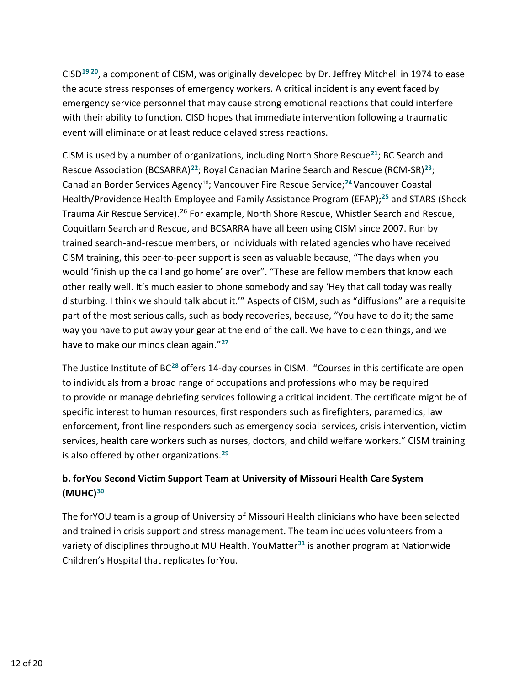CISD**[19](#page-16-8) [20](#page-16-9)**, a component of CISM, was originally developed by Dr. Jeffrey Mitchell in 1974 to ease the acute stress responses of emergency workers. A critical incident is any event faced by emergency service personnel that may cause strong emotional reactions that could interfere with their ability to function. CISD hopes that immediate intervention following a traumatic event will eliminate or at least reduce delayed stress reactions.

CISM is used by a number of organizations, including North Shore Rescue**[21](#page-17-0)**; BC Search and Rescue Association (BCSARRA)**[22](#page-17-1)**; Royal Canadian Marine Search and Rescue (RCM-SR)**[23](#page-17-2)**; Canadian Border Services Agenc[y18;](#page-10-0) Vancouver Fire Rescue Service;**[24](#page-17-3)**Vancouver Coastal Health/Providence Health Employee and Family Assistance Program (EFAP); **[25](#page-17-4)** and STARS (Shock Trauma Air Rescue Service).<sup>[26](#page-17-5)</sup> For example, North Shore Rescue, Whistler Search and Rescue, Coquitlam Search and Rescue, and BCSARRA have all been using CISM since 2007. Run by trained search-and-rescue members, or individuals with related agencies who have received CISM training, this peer-to-peer support is seen as valuable because, "The days when you would 'finish up the call and go home' are over". "These are fellow members that know each other really well. It's much easier to phone somebody and say 'Hey that call today was really disturbing. I think we should talk about it.'" Aspects of CISM, such as "diffusions" are a requisite part of the most serious calls, such as body recoveries, because, "You have to do it; the same way you have to put away your gear at the end of the call. We have to clean things, and we have to make our minds clean again."**[27](#page-17-6)**

The Justice Institute of BC**[28](#page-17-7)** offers 14-day courses in CISM. "Courses in this certificate are open to individuals from a broad range of occupations and professions who may be required to provide or manage debriefing services following a critical incident. The certificate might be of specific interest to human resources, first responders such as firefighters, paramedics, law enforcement, front line responders such as emergency social services, crisis intervention, victim services, health care workers such as nurses, doctors, and child welfare workers." CISM training is also offered by other organizations.**[29](#page-17-8)**

# **b. forYou Second Victim Support Team at University of Missouri Health Care System (MUHC)[30](#page-17-9)**

The forYOU team is a group of University of Missouri Health clinicians who have been selected and trained in crisis support and stress management. The team includes volunteers from a variety of disciplines throughout MU Health. YouMatter**[31](#page-17-10)** is another program at Nationwide Children's Hospital that replicates forYou.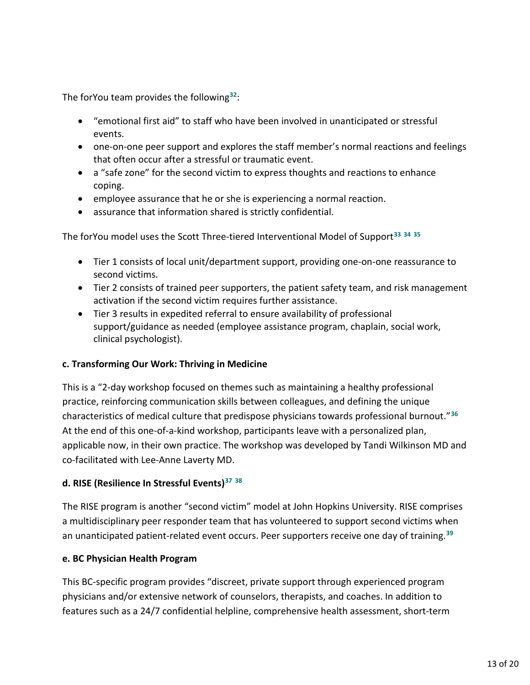The forYou team provides the following**[32](#page-18-0)**:

- "emotional first aid" to staff who have been involved in unanticipated or stressful events.
- one-on-one peer support and explores the staff member's normal reactions and feelings that often occur after a stressful or traumatic event.
- a "safe zone" for the second victim to express thoughts and reactions to enhance coping.
- employee assurance that he or she is experiencing a normal reaction.
- <span id="page-12-0"></span>• assurance that information shared is strictly confidential.

The forYou model uses the Scott Three-tiered Interventional Model of Support**[33](#page-18-1) [34](#page-18-2) [35](#page-18-3)**

- Tier 1 consists of local unit/department support, providing one-on-one reassurance to second victims.
- Tier 2 consists of trained peer supporters, the patient safety team, and risk management activation if the second victim requires further assistance.
- Tier 3 results in expedited referral to ensure availability of professional support/guidance as needed (employee assistance program, chaplain, social work, clinical psychologist).

## **c. Transforming Our Work: Thriving in Medicine**

This is a "2-day workshop focused on themes such as maintaining a healthy professional practice, reinforcing communication skills between colleagues, and defining the unique characteristics of medical culture that predispose physicians towards professional burnout."**[36](#page-18-4)** At the end of this one-of-a-kind workshop, participants leave with a personalized plan, applicable now, in their own practice. The workshop was developed by Tandi Wilkinson MD and co-facilitated with Lee-Anne Laverty MD.

# **d. RISE (Resilience In Stressful Events)[37](#page-18-5) [38](#page-18-6)**

The RISE program is another "second victim" model at John Hopkins University. RISE comprises a multidisciplinary peer responder team that has volunteered to support second victims when an unanticipated patient-related event occurs. Peer supporters receive one day of training.**[39](#page-18-7)**

## **e. BC Physician Health Program**

This BC-specific program provides "discreet, private support through experienced program physicians and/or extensive network of counselors, therapists, and coaches. In addition to features such as a 24/7 confidential helpline, comprehensive health assessment, short-term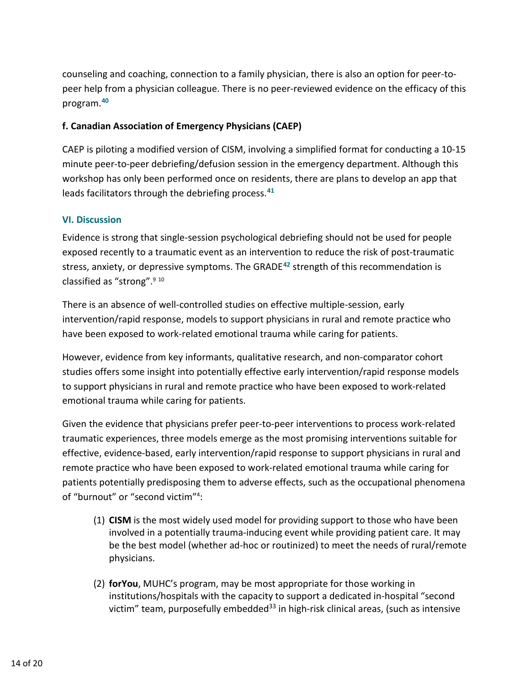counseling and coaching, connection to a family physician, there is also an option for peer-topeer help from a physician colleague. There is no peer-reviewed evidence on the efficacy of this program.**[40](#page-18-8)**

## **f. Canadian Association of Emergency Physicians (CAEP)**

CAEP is piloting a modified version of CISM, involving a simplified format for conducting a 10-15 minute peer-to-peer debriefing/defusion session in the emergency department. Although this workshop has only been performed once on residents, there are plans to develop an app that leads facilitators through the debriefing process.**[41](#page-18-9)**

## <span id="page-13-0"></span>**VI. Discussion**

Evidence is strong that single-session psychological debriefing should not be used for people exposed recently to a traumatic event as an intervention to reduce the risk of post-traumatic stress, anxiety, or depressive symptoms. The GRADE**[42](#page-19-0)** strength of this recommendation is classified as "strong"[.9](#page-5-2) [10](#page-5-3)

There is an absence of well-controlled studies on effective multiple-session, early intervention/rapid response, models to support physicians in rural and remote practice who have been exposed to work-related emotional trauma while caring for patients.

However, evidence from key informants, qualitative research, and non-comparator cohort studies offers some insight into potentially effective early intervention/rapid response models to support physicians in rural and remote practice who have been exposed to work-related emotional trauma while caring for patients.

Given the evidence that physicians prefer peer-to-peer interventions to process work-related traumatic experiences, three models emerge as the most promising interventions suitable for effective, evidence-based, early intervention/rapid response to support physicians in rural and remote practice who have been exposed to work-related emotional trauma while caring for patients potentially predisposing them to adverse effects, such as the occupational phenomena of "burnout" or "second victim"<sup>4</sup>:

- (1) **CISM** is the most widely used model for providing support to those who have been involved in a potentially trauma-inducing event while providing patient care. It may be the best model (whether ad-hoc or routinized) to meet the needs of rural/remote physicians.
- (2) **forYou**, MUHC's program, may be most appropriate for those working in institutions/hospitals with the capacity to support a dedicated in-hospital "second victim" team, purposefully embedded<sup>33</sup> in high-risk clinical areas, (such as intensive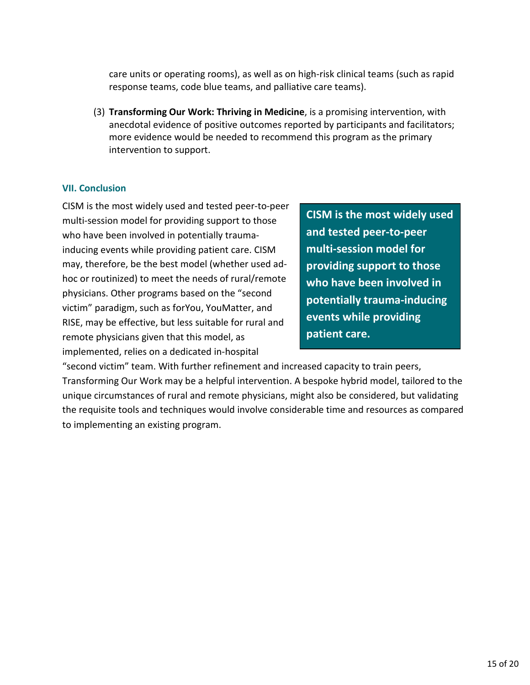care units or operating rooms), as well as on high-risk clinical teams (such as rapid response teams, code blue teams, and palliative care teams).

(3) **Transforming Our Work: Thriving in Medicine**, is a promising intervention, with anecdotal evidence of positive outcomes reported by participants and facilitators; more evidence would be needed to recommend this program as the primary intervention to support.

### **VII. Conclusion**

CISM is the most widely used and tested peer-to-peer multi-session model for providing support to those who have been involved in potentially traumainducing events while providing patient care. CISM may, therefore, be the best model (whether used adhoc or routinized) to meet the needs of rural/remote physicians. Other programs based on the "second victim" paradigm, such as forYou, YouMatter, and RISE, may be effective, but less suitable for rural and remote physicians given that this model, as implemented, relies on a dedicated in-hospital

<span id="page-14-0"></span>**CISM is the most widely used and tested peer-to-peer multi-session model for providing support to those who have been involved in potentially trauma-inducing events while providing patient care.**

"second victim" team. With further refinement and increased capacity to train peers, Transforming Our Work may be a helpful intervention. A bespoke hybrid model, tailored to the unique circumstances of rural and remote physicians, might also be considered, but validating the requisite tools and techniques would involve considerable time and resources as compared to implementing an existing program.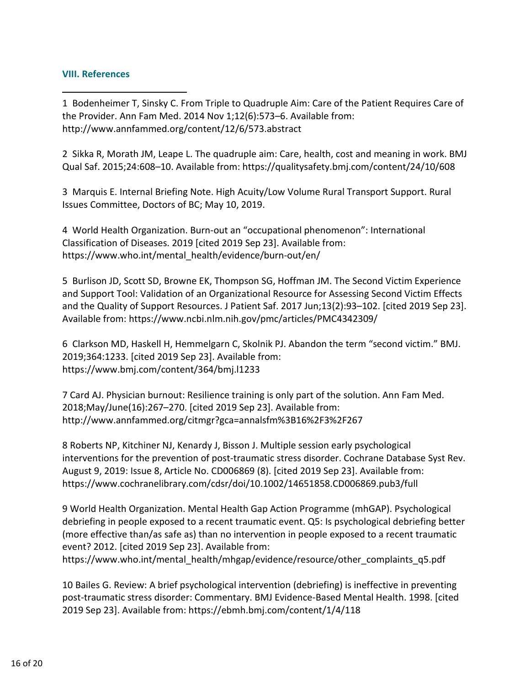### <span id="page-15-0"></span>**VIII. References**

<span id="page-15-1"></span>1 Bodenheimer T, Sinsky C. From Triple to Quadruple Aim: Care of the Patient Requires Care of the Provider. Ann Fam Med. 2014 Nov 1;12(6):573–6. Available from: <http://www.annfammed.org/content/12/6/573.abstract>

<span id="page-15-2"></span>2 Sikka R, Morath JM, Leape L. The quadruple aim: Care, health, cost and meaning in work. BMJ Qual Saf. 2015;24:608–10. Available from:<https://qualitysafety.bmj.com/content/24/10/608>

<span id="page-15-3"></span>3 Marquis E. Internal Briefing Note. High Acuity/Low Volume Rural Transport Support. Rural Issues Committee, Doctors of BC; May 10, 2019.

<span id="page-15-4"></span>4 World Health Organization. Burn-out an "occupational phenomenon": International Classification of Diseases. 2019 [cited 2019 Sep 23]. Available from: [https://www.who.int/mental\\_health/evidence/burn-out/en/](https://www.who.int/mental_health/evidence/burn-out/en/)

<span id="page-15-5"></span>5 Burlison JD, Scott SD, Browne EK, Thompson SG, Hoffman JM. The Second Victim Experience and Support Tool: Validation of an Organizational Resource for Assessing Second Victim Effects and the Quality of Support Resources. J Patient Saf. 2017 Jun;13(2):93–102. [cited 2019 Sep 23]. Available from:<https://www.ncbi.nlm.nih.gov/pmc/articles/PMC4342309/>

<span id="page-15-6"></span>6 Clarkson MD, Haskell H, Hemmelgarn C, Skolnik PJ. Abandon the term "second victim." BMJ. 2019;364:1233. [cited 2019 Sep 23]. Available from: <https://www.bmj.com/content/364/bmj.l1233>

<span id="page-15-7"></span>7 Card AJ. Physician burnout: Resilience training is only part of the solution. Ann Fam Med. 2018;May/June(16):267–270. [cited 2019 Sep 23]. Available from: <http://www.annfammed.org/citmgr?gca=annalsfm%3B16%2F3%2F267>

<span id="page-15-8"></span>8 Roberts NP, Kitchiner NJ, Kenardy J, Bisson J. Multiple session early psychological interventions for the prevention of post-traumatic stress disorder. Cochrane Database Syst Rev. August 9, 2019: Issue 8, Article No. CD006869 (8). [cited 2019 Sep 23]. Available from: <https://www.cochranelibrary.com/cdsr/doi/10.1002/14651858.CD006869.pub3/full>

<span id="page-15-9"></span>9 World Health Organization. Mental Health Gap Action Programme (mhGAP). Psychological debriefing in people exposed to a recent traumatic event. Q5: Is psychological debriefing better (more effective than/as safe as) than no intervention in people exposed to a recent traumatic event? 2012. [cited 2019 Sep 23]. Available from:

[https://www.who.int/mental\\_health/mhgap/evidence/resource/other\\_complaints\\_q5.pdf](https://www.who.int/mental_health/mhgap/evidence/resource/other_complaints_q5.pdf)

<span id="page-15-10"></span>10 Bailes G. Review: A brief psychological intervention (debriefing) is ineffective in preventing post-traumatic stress disorder: Commentary. BMJ Evidence-Based Mental Health. 1998. [cited 2019 Sep 23]. Available from:<https://ebmh.bmj.com/content/1/4/118>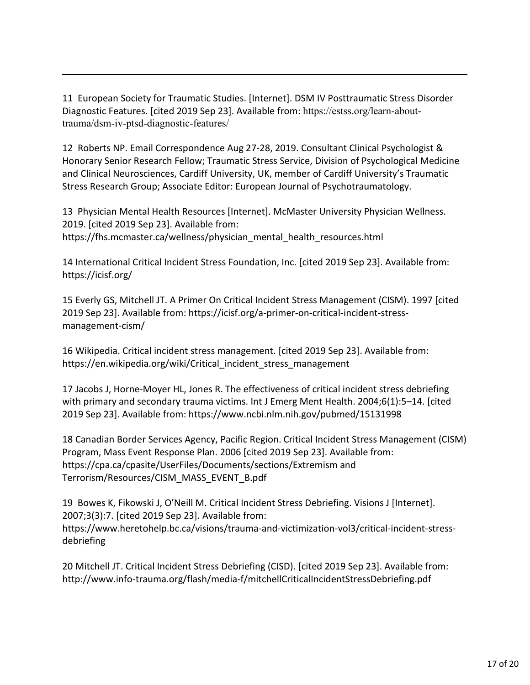<span id="page-16-0"></span>11 European Society for Traumatic Studies. [Internet]. DSM IV Posttraumatic Stress Disorder Diagnostic Features. [cited 2019 Sep 23]. Available from: [https://estss.org/learn-about](https://estss.org/learn-about-trauma/dsm-iv-ptsd-diagnostic-features/)[trauma/dsm-iv-ptsd-diagnostic-features/](https://estss.org/learn-about-trauma/dsm-iv-ptsd-diagnostic-features/)

<span id="page-16-1"></span>12 Roberts NP. Email Correspondence Aug 27-28, 2019. Consultant Clinical Psychologist & Honorary Senior Research Fellow; Traumatic Stress Service, Division of Psychological Medicine and Clinical Neurosciences, Cardiff University, UK, member of Cardiff University's Traumatic Stress Research Group; Associate Editor: European Journal of Psychotraumatology.

<span id="page-16-2"></span>13 Physician Mental Health Resources [Internet]. McMaster University Physician Wellness. 2019. [cited 2019 Sep 23]. Available from: [https://fhs.mcmaster.ca/wellness/physician\\_mental\\_health\\_resources.html](https://fhs.mcmaster.ca/wellness/physician_mental_health_resources.html)

<span id="page-16-3"></span>14 International Critical Incident Stress Foundation, Inc. [cited 2019 Sep 23]. Available from: <https://icisf.org/>

<span id="page-16-4"></span>15 Everly GS, Mitchell JT. A Primer On Critical Incident Stress Management (CISM). 1997 [cited 2019 Sep 23]. Available from: [https://icisf.org/a-primer-on-critical-incident-stress](https://icisf.org/a-primer-on-critical-incident-stress-management-cism/)[management-cism/](https://icisf.org/a-primer-on-critical-incident-stress-management-cism/)

<span id="page-16-5"></span>16 Wikipedia. Critical incident stress management. [cited 2019 Sep 23]. Available from: [https://en.wikipedia.org/wiki/Critical\\_incident\\_stress\\_management](https://en.wikipedia.org/wiki/Critical_incident_stress_management)

<span id="page-16-6"></span>17 Jacobs J, Horne-Moyer HL, Jones R. The effectiveness of critical incident stress debriefing with primary and secondary trauma victims. Int J Emerg Ment Health. 2004;6(1):5–14. [cited 2019 Sep 23]. Available from:<https://www.ncbi.nlm.nih.gov/pubmed/15131998>

<span id="page-16-7"></span>18 Canadian Border Services Agency, Pacific Region. Critical Incident Stress Management (CISM) Program, Mass Event Response Plan. 2006 [cited 2019 Sep 23]. Available from: [https://cpa.ca/cpasite/UserFiles/Documents/sections/Extremism and](https://cpa.ca/cpasite/UserFiles/Documents/sections/Extremism%20and%20Terrorism/Resources/CISM_MASS_EVENT_B.pdf)  [Terrorism/Resources/CISM\\_MASS\\_EVENT\\_B.pdf](https://cpa.ca/cpasite/UserFiles/Documents/sections/Extremism%20and%20Terrorism/Resources/CISM_MASS_EVENT_B.pdf)

<span id="page-16-8"></span>19 Bowes K, Fikowski J, O'Neill M. Critical Incident Stress Debriefing. Visions J [Internet]. 2007;3(3):7. [cited 2019 Sep 23]. Available from: [https://www.heretohelp.bc.ca/visions/trauma-and-victimization-vol3/critical-incident-stress](https://www.heretohelp.bc.ca/visions/trauma-and-victimization-vol3/critical-incident-stress-debriefing)[debriefing](https://www.heretohelp.bc.ca/visions/trauma-and-victimization-vol3/critical-incident-stress-debriefing)

<span id="page-16-9"></span>20 Mitchell JT. Critical Incident Stress Debriefing (CISD). [cited 2019 Sep 23]. Available from: <http://www.info-trauma.org/flash/media-f/mitchellCriticalIncidentStressDebriefing.pdf>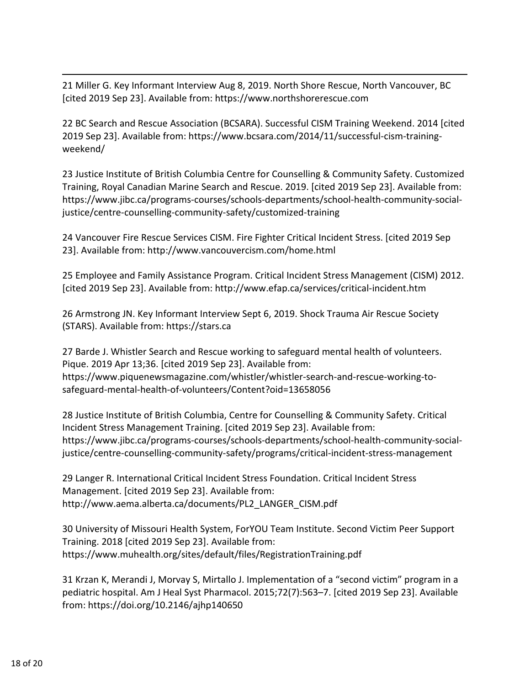<span id="page-17-0"></span>21 Miller G. Key Informant Interview Aug 8, 2019. North Shore Rescue, North Vancouver, BC [cited 2019 Sep 23]. Available from: [https://www.northshorerescue.com](https://www.northshorerescue.com/)

<span id="page-17-1"></span>22 BC Search and Rescue Association (BCSARA). Successful CISM Training Weekend. 2014 [cited 2019 Sep 23]. Available from: [https://www.bcsara.com/2014/11/successful-cism-training](https://www.bcsara.com/2014/11/successful-cism-training-weekend/)[weekend/](https://www.bcsara.com/2014/11/successful-cism-training-weekend/)

<span id="page-17-2"></span>23 Justice Institute of British Columbia Centre for Counselling & Community Safety. Customized Training, Royal Canadian Marine Search and Rescue. 2019. [cited 2019 Sep 23]. Available from: [https://www.jibc.ca/programs-courses/schools-departments/school-health-community-social](https://www.jibc.ca/programs-courses/schools-departments/school-health-community-social-justice/centre-counselling-community-safety/customized-training)[justice/centre-counselling-community-safety/customized-training](https://www.jibc.ca/programs-courses/schools-departments/school-health-community-social-justice/centre-counselling-community-safety/customized-training)

<span id="page-17-3"></span>24 Vancouver Fire Rescue Services CISM. Fire Fighter Critical Incident Stress. [cited 2019 Sep 23]. Available from:<http://www.vancouvercism.com/home.html>

<span id="page-17-4"></span>25 Employee and Family Assistance Program. Critical Incident Stress Management (CISM) 2012. [cited 2019 Sep 23]. Available from:<http://www.efap.ca/services/critical-incident.htm>

<span id="page-17-5"></span>26 Armstrong JN. Key Informant Interview Sept 6, 2019. Shock Trauma Air Rescue Society (STARS). Available from: [https://stars.ca](https://stars.ca/)

<span id="page-17-6"></span>27 Barde J. Whistler Search and Rescue working to safeguard mental health of volunteers. Pique. 2019 Apr 13;36. [cited 2019 Sep 23]. Available from: [https://www.piquenewsmagazine.com/whistler/whistler-search-and-rescue-working-to](https://www.piquenewsmagazine.com/whistler/whistler-search-and-rescue-working-to-safeguard-mental-health-of-volunteers/Content?oid=13658056)[safeguard-mental-health-of-volunteers/Content?oid=13658056](https://www.piquenewsmagazine.com/whistler/whistler-search-and-rescue-working-to-safeguard-mental-health-of-volunteers/Content?oid=13658056)

<span id="page-17-7"></span>28 Justice Institute of British Columbia, Centre for Counselling & Community Safety. Critical Incident Stress Management Training. [cited 2019 Sep 23]. Available from: [https://www.jibc.ca/programs-courses/schools-departments/school-health-community-social](https://www.jibc.ca/programs-courses/schools-departments/school-health-community-social-justice/centre-counselling-community-safety/programs/critical-incident-stress-management)[justice/centre-counselling-community-safety/programs/critical-incident-stress-management](https://www.jibc.ca/programs-courses/schools-departments/school-health-community-social-justice/centre-counselling-community-safety/programs/critical-incident-stress-management)

<span id="page-17-8"></span>29 Langer R. International Critical Incident Stress Foundation. Critical Incident Stress Management. [cited 2019 Sep 23]. Available from: http://www.aema.alberta.ca/documents/PL2\_LANGER\_CISM.pdf

<span id="page-17-9"></span>30 University of Missouri Health System, ForYOU Team Institute. Second Victim Peer Support Training. 2018 [cited 2019 Sep 23]. Available from: https://www.muhealth.org/sites/default/files/RegistrationTraining.pdf

<span id="page-17-10"></span>31 Krzan K, Merandi J, Morvay S, Mirtallo J. Implementation of a "second victim" program in a pediatric hospital. Am J Heal Syst Pharmacol. 2015;72(7):563–7. [cited 2019 Sep 23]. Available from[: https://doi.org/10.2146/ajhp140650](https://doi.org/10.2146/ajhp140650)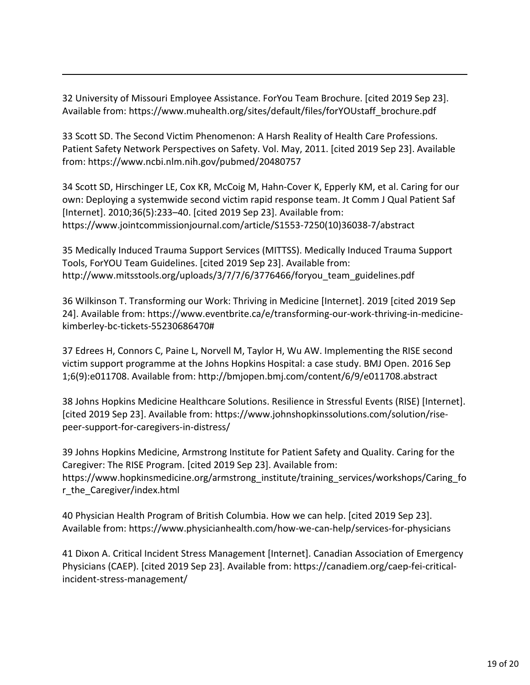<span id="page-18-0"></span>32 University of Missouri Employee Assistance. ForYou Team Brochure. [cited 2019 Sep 23]. Available from: [https://www.muhealth.org/sites/default/files/forYOUstaff\\_brochure.pdf](https://www.muhealth.org/sites/default/files/forYOUstaff_brochure.pdf)

<span id="page-18-1"></span>33 Scott SD. The Second Victim Phenomenon: A Harsh Reality of Health Care Professions. Patient Safety Network Perspectives on Safety. Vol. May, 2011. [cited 2019 Sep 23]. Available from[: https://www.ncbi.nlm.nih.gov/pubmed/20480757](https://www.ncbi.nlm.nih.gov/pubmed/20480757)

<span id="page-18-2"></span>34 Scott SD, Hirschinger LE, Cox KR, McCoig M, Hahn-Cover K, Epperly KM, et al. Caring for our own: Deploying a systemwide second victim rapid response team. Jt Comm J Qual Patient Saf [Internet]. 2010;36(5):233–40. [cited 2019 Sep 23]. Available from: [https://www.jointcommissionjournal.com/article/S1553-7250\(10\)36038-7/abstract](https://www.jointcommissionjournal.com/article/S1553-7250(10)36038-7/abstract)

<span id="page-18-3"></span>35 Medically Induced Trauma Support Services (MITTSS). Medically Induced Trauma Support Tools, ForYOU Team Guidelines. [cited 2019 Sep 23]. Available from: [http://www.mitsstools.org/uploads/3/7/7/6/3776466/foryou\\_team\\_guidelines.pdf](http://www.mitsstools.org/uploads/3/7/7/6/3776466/foryou_team_guidelines.pdf)

<span id="page-18-4"></span>36 Wilkinson T. Transforming our Work: Thriving in Medicine [Internet]. 2019 [cited 2019 Sep 24]. Available from: [https://www.eventbrite.ca/e/transforming-our-work-thriving-in-medicine](https://www.eventbrite.ca/e/transforming-our-work-thriving-in-medicine-kimberley-bc-tickets-55230686470%23)[kimberley-bc-tickets-55230686470#](https://www.eventbrite.ca/e/transforming-our-work-thriving-in-medicine-kimberley-bc-tickets-55230686470%23)

<span id="page-18-5"></span>37 Edrees H, Connors C, Paine L, Norvell M, Taylor H, Wu AW. Implementing the RISE second victim support programme at the Johns Hopkins Hospital: a case study. BMJ Open. 2016 Sep 1;6(9):e011708. Available from:<http://bmjopen.bmj.com/content/6/9/e011708.abstract>

<span id="page-18-6"></span>38 Johns Hopkins Medicine Healthcare Solutions. Resilience in Stressful Events (RISE) [Internet]. [cited 2019 Sep 23]. Available from: [https://www.johnshopkinssolutions.com/solution/rise](https://www.johnshopkinssolutions.com/solution/rise-peer-support-for-caregivers-in-distress/)[peer-support-for-caregivers-in-distress/](https://www.johnshopkinssolutions.com/solution/rise-peer-support-for-caregivers-in-distress/)

<span id="page-18-7"></span>39 Johns Hopkins Medicine, Armstrong Institute for Patient Safety and Quality. Caring for the Caregiver: The RISE Program. [cited 2019 Sep 23]. Available from: [https://www.hopkinsmedicine.org/armstrong\\_institute/training\\_services/workshops/Caring\\_fo](https://www.hopkinsmedicine.org/armstrong_institute/training_services/workshops/Caring_for_the_Caregiver/index.html) [r\\_the\\_Caregiver/index.html](https://www.hopkinsmedicine.org/armstrong_institute/training_services/workshops/Caring_for_the_Caregiver/index.html)

<span id="page-18-8"></span>40 Physician Health Program of British Columbia. How we can help. [cited 2019 Sep 23]. Available from:<https://www.physicianhealth.com/how-we-can-help/services-for-physicians>

<span id="page-18-9"></span>41 Dixon A. Critical Incident Stress Management [Internet]. Canadian Association of Emergency Physicians (CAEP). [cited 2019 Sep 23]. Available from: [https://canadiem.org/caep-fei-critical](https://canadiem.org/caep-fei-critical-incident-stress-management)[incident-stress-management/](https://canadiem.org/caep-fei-critical-incident-stress-management)